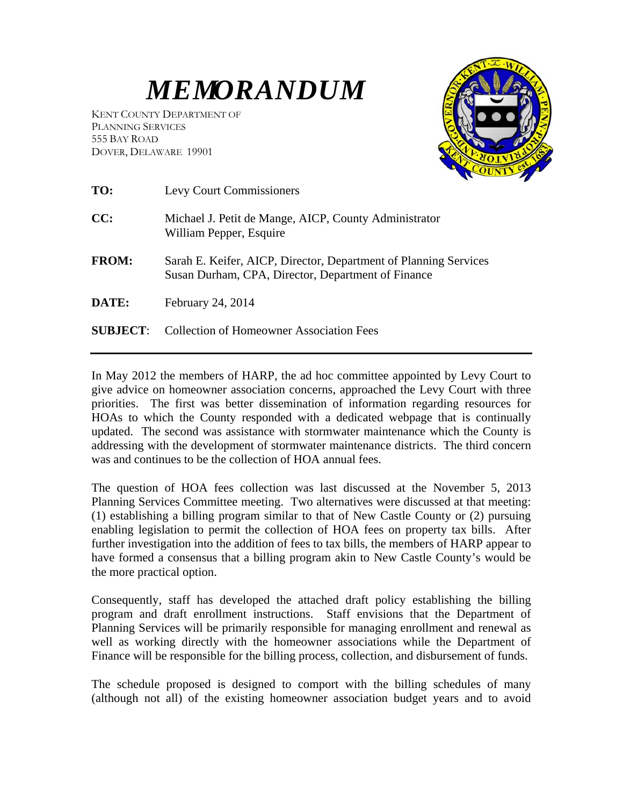## *MEMORANDUM*

KENT COUNTY DEPARTMENT OF PLANNING SERVICES 555 BAY ROAD DOVER, DELAWARE 19901



| TO:             | <b>Levy Court Commissioners</b>                                                                                        |
|-----------------|------------------------------------------------------------------------------------------------------------------------|
| CC:             | Michael J. Petit de Mange, AICP, County Administrator<br>William Pepper, Esquire                                       |
| <b>FROM:</b>    | Sarah E. Keifer, AICP, Director, Department of Planning Services<br>Susan Durham, CPA, Director, Department of Finance |
| <b>DATE:</b>    | February 24, 2014                                                                                                      |
| <b>SUBJECT:</b> | <b>Collection of Homeowner Association Fees</b>                                                                        |

In May 2012 the members of HARP, the ad hoc committee appointed by Levy Court to give advice on homeowner association concerns, approached the Levy Court with three priorities. The first was better dissemination of information regarding resources for HOAs to which the County responded with a dedicated webpage that is continually updated. The second was assistance with stormwater maintenance which the County is addressing with the development of stormwater maintenance districts. The third concern was and continues to be the collection of HOA annual fees.

The question of HOA fees collection was last discussed at the November 5, 2013 Planning Services Committee meeting. Two alternatives were discussed at that meeting: (1) establishing a billing program similar to that of New Castle County or (2) pursuing enabling legislation to permit the collection of HOA fees on property tax bills. After further investigation into the addition of fees to tax bills, the members of HARP appear to have formed a consensus that a billing program akin to New Castle County's would be the more practical option.

Consequently, staff has developed the attached draft policy establishing the billing program and draft enrollment instructions. Staff envisions that the Department of Planning Services will be primarily responsible for managing enrollment and renewal as well as working directly with the homeowner associations while the Department of Finance will be responsible for the billing process, collection, and disbursement of funds.

The schedule proposed is designed to comport with the billing schedules of many (although not all) of the existing homeowner association budget years and to avoid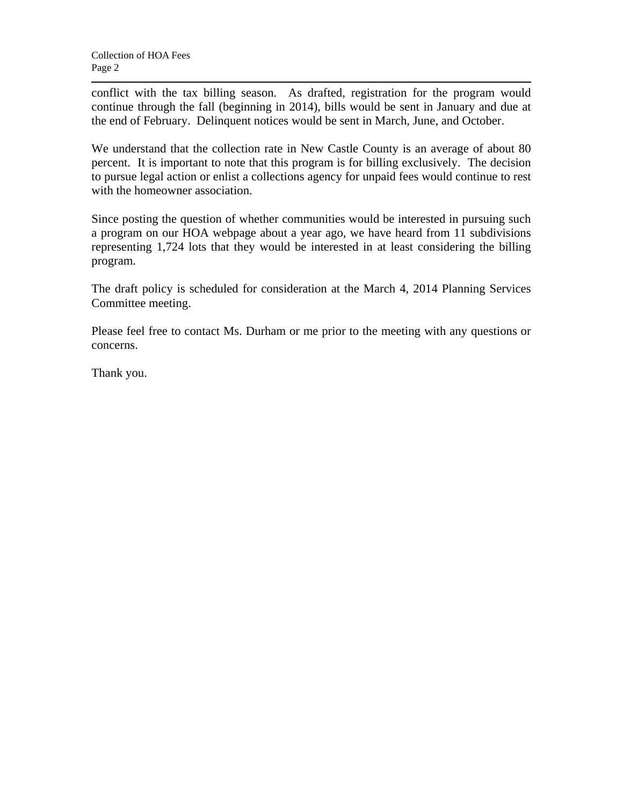conflict with the tax billing season. As drafted, registration for the program would continue through the fall (beginning in 2014), bills would be sent in January and due at the end of February. Delinquent notices would be sent in March, June, and October.

We understand that the collection rate in New Castle County is an average of about 80 percent. It is important to note that this program is for billing exclusively. The decision to pursue legal action or enlist a collections agency for unpaid fees would continue to rest with the homeowner association.

Since posting the question of whether communities would be interested in pursuing such a program on our HOA webpage about a year ago, we have heard from 11 subdivisions representing 1,724 lots that they would be interested in at least considering the billing program.

The draft policy is scheduled for consideration at the March 4, 2014 Planning Services Committee meeting.

Please feel free to contact Ms. Durham or me prior to the meeting with any questions or concerns.

Thank you.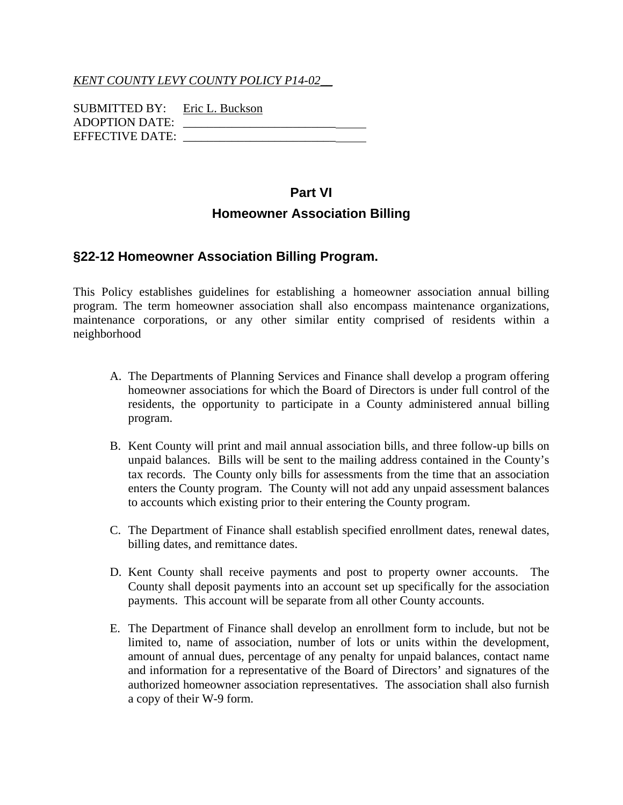*KENT COUNTY LEVY COUNTY POLICY P14-02\_\_*

| SUBMITTED BY: Eric L. Buckson |  |
|-------------------------------|--|
| <b>ADOPTION DATE:</b>         |  |
| <b>EFFECTIVE DATE:</b>        |  |

## **Part VI Homeowner Association Billing**

## **§22-12 Homeowner Association Billing Program.**

This Policy establishes guidelines for establishing a homeowner association annual billing program. The term homeowner association shall also encompass maintenance organizations, maintenance corporations, or any other similar entity comprised of residents within a neighborhood

- A. The Departments of Planning Services and Finance shall develop a program offering homeowner associations for which the Board of Directors is under full control of the residents, the opportunity to participate in a County administered annual billing program.
- B. Kent County will print and mail annual association bills, and three follow-up bills on unpaid balances. Bills will be sent to the mailing address contained in the County's tax records. The County only bills for assessments from the time that an association enters the County program. The County will not add any unpaid assessment balances to accounts which existing prior to their entering the County program.
- C. The Department of Finance shall establish specified enrollment dates, renewal dates, billing dates, and remittance dates.
- D. Kent County shall receive payments and post to property owner accounts. The County shall deposit payments into an account set up specifically for the association payments. This account will be separate from all other County accounts.
- E. The Department of Finance shall develop an enrollment form to include, but not be limited to, name of association, number of lots or units within the development, amount of annual dues, percentage of any penalty for unpaid balances, contact name and information for a representative of the Board of Directors' and signatures of the authorized homeowner association representatives. The association shall also furnish a copy of their W-9 form.